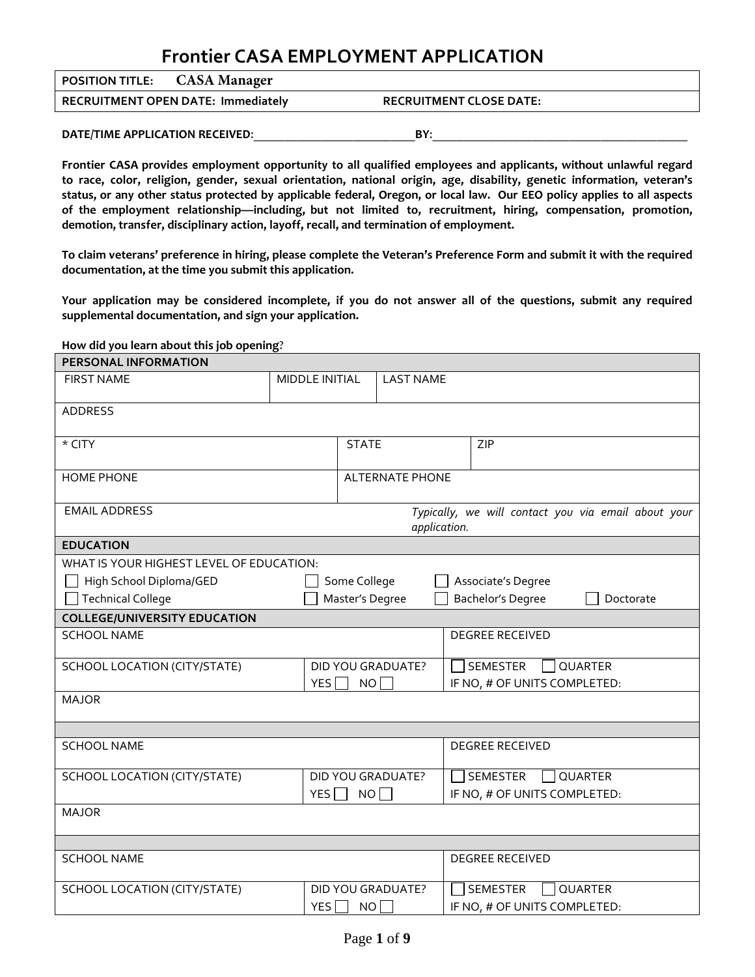# **Frontier CASA EMPLOYMENT APPLICATION**

| <b>POSITION TITLE:</b> CASA Manager |                                           |                                |
|-------------------------------------|-------------------------------------------|--------------------------------|
|                                     | <b>RECRUITMENT OPEN DATE: Immediately</b> | <b>RECRUITMENT CLOSE DATE:</b> |
|                                     |                                           |                                |
| DATE/TIME APPLICATION RECEIVED:     |                                           | BY:                            |

**Frontier CASA provides employment opportunity to all qualified employees and applicants, without unlawful regard to race, color, religion, gender, sexual orientation, national origin, age, disability, genetic information, veteran's status, or any other status protected by applicable federal, Oregon, or local law. Our EEO policy applies to all aspects of the employment relationship—including, but not limited to, recruitment, hiring, compensation, promotion, demotion, transfer, disciplinary action, layoff, recall, and termination of employment.** 

**To claim veterans' preference in hiring, please complete the Veteran's Preference Form and submit it with the required documentation, at the time you submit this application.**

**Your application may be considered incomplete, if you do not answer all of the questions, submit any required supplemental documentation, and sign your application.**

#### **How did you learn about this job opening**?

| <b>PERSONAL INFORMATION</b>              |                |                                                                     |                                          |                              |                                   |  |
|------------------------------------------|----------------|---------------------------------------------------------------------|------------------------------------------|------------------------------|-----------------------------------|--|
| <b>FIRST NAME</b>                        | MIDDLE INITIAL |                                                                     | <b>LAST NAME</b>                         |                              |                                   |  |
|                                          |                |                                                                     |                                          |                              |                                   |  |
| <b>ADDRESS</b>                           |                |                                                                     |                                          |                              |                                   |  |
| * CITY                                   |                |                                                                     | <b>STATE</b>                             |                              | ZIP                               |  |
| <b>HOME PHONE</b>                        |                | <b>ALTERNATE PHONE</b>                                              |                                          |                              |                                   |  |
| <b>EMAIL ADDRESS</b>                     |                | Typically, we will contact you via email about your<br>application. |                                          |                              |                                   |  |
| <b>EDUCATION</b>                         |                |                                                                     |                                          |                              |                                   |  |
| WHAT IS YOUR HIGHEST LEVEL OF EDUCATION: |                |                                                                     |                                          |                              |                                   |  |
| High School Diploma/GED                  |                | Some College                                                        |                                          |                              | Associate's Degree                |  |
| <b>Technical College</b>                 |                | Master's Degree                                                     |                                          |                              | Bachelor's Degree<br>Doctorate    |  |
| <b>COLLEGE/UNIVERSITY EDUCATION</b>      |                |                                                                     |                                          |                              |                                   |  |
| <b>SCHOOL NAME</b>                       |                |                                                                     |                                          |                              | <b>DEGREE RECEIVED</b>            |  |
| SCHOOL LOCATION (CITY/STATE)             |                |                                                                     | SEMESTER<br>OUARTER<br>DID YOU GRADUATE? |                              |                                   |  |
| YES $\Box$                               |                | NO                                                                  |                                          | IF NO, # OF UNITS COMPLETED: |                                   |  |
| <b>MAJOR</b>                             |                |                                                                     |                                          |                              |                                   |  |
|                                          |                |                                                                     |                                          |                              |                                   |  |
| <b>SCHOOL NAME</b>                       |                |                                                                     |                                          |                              | <b>DEGREE RECEIVED</b>            |  |
| SCHOOL LOCATION (CITY/STATE)             |                |                                                                     | DID YOU GRADUATE?                        |                              | <b>QUARTER</b><br><b>SEMESTER</b> |  |
| YES $\Box$                               |                | NO <sub>1</sub>                                                     |                                          |                              | IF NO, # OF UNITS COMPLETED:      |  |
| <b>MAJOR</b>                             |                |                                                                     |                                          |                              |                                   |  |
|                                          |                |                                                                     |                                          |                              |                                   |  |
| <b>SCHOOL NAME</b>                       |                |                                                                     |                                          |                              | <b>DEGREE RECEIVED</b>            |  |
| SCHOOL LOCATION (CITY/STATE)             |                |                                                                     | DID YOU GRADUATE?                        |                              | QUARTER<br>SEMESTER               |  |
|                                          | YES            | NO                                                                  |                                          |                              | IF NO, # OF UNITS COMPLETED:      |  |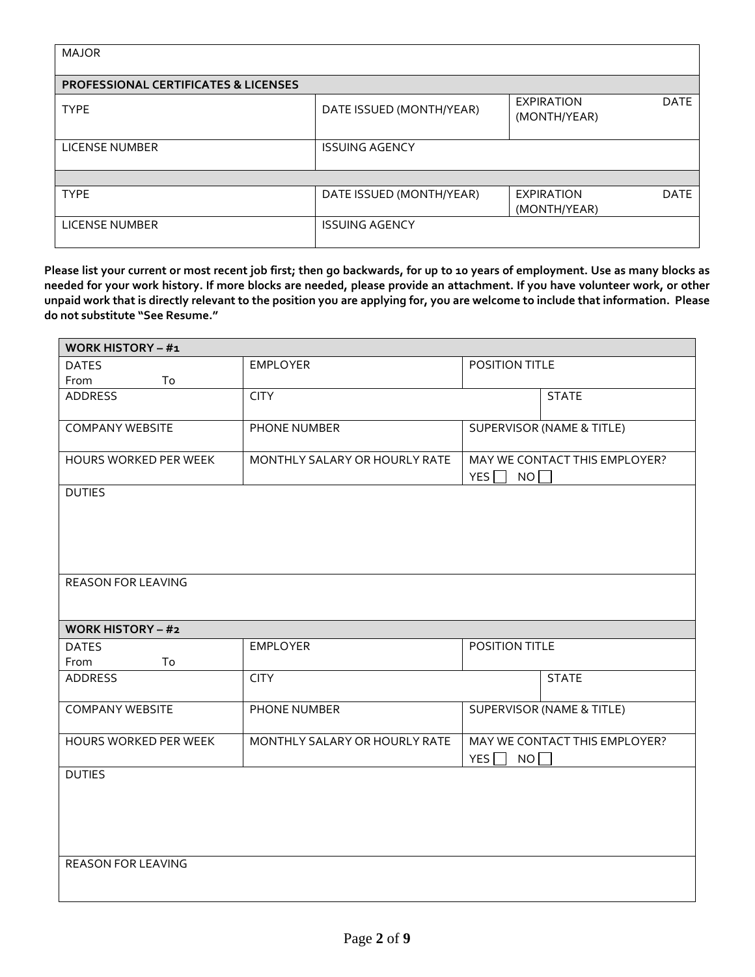| <b>MAJOR</b>                                    |                          |                                                  |
|-------------------------------------------------|--------------------------|--------------------------------------------------|
| <b>PROFESSIONAL CERTIFICATES &amp; LICENSES</b> |                          |                                                  |
| <b>TYPE</b>                                     | DATE ISSUED (MONTH/YEAR) | <b>DATE</b><br><b>EXPIRATION</b><br>(MONTH/YEAR) |
| <b>LICENSE NUMBER</b>                           | <b>ISSUING AGENCY</b>    |                                                  |
|                                                 |                          |                                                  |
| <b>TYPE</b>                                     | DATE ISSUED (MONTH/YEAR) | <b>DATE</b><br><b>EXPIRATION</b><br>(MONTH/YEAR) |
| <b>LICENSE NUMBER</b>                           | <b>ISSUING AGENCY</b>    |                                                  |

**Please list your current or most recent job first; then go backwards, for up to 10 years of employment. Use as many blocks as needed for your work history. If more blocks are needed, please provide an attachment. If you have volunteer work, or other unpaid work that is directly relevant to the position you are applying for, you are welcome to include that information. Please do not substitute "See Resume."**

| <b>WORK HISTORY - #1</b>        |                               |                                 |                                      |  |
|---------------------------------|-------------------------------|---------------------------------|--------------------------------------|--|
| <b>EMPLOYER</b><br><b>DATES</b> |                               | POSITION TITLE                  |                                      |  |
| From<br>To                      |                               |                                 |                                      |  |
| <b>ADDRESS</b>                  | <b>CITY</b>                   |                                 | <b>STATE</b>                         |  |
| <b>COMPANY WEBSITE</b>          | PHONE NUMBER                  |                                 | <b>SUPERVISOR (NAME &amp; TITLE)</b> |  |
| HOURS WORKED PER WEEK           | MONTHLY SALARY OR HOURLY RATE | YES $\Box$<br>NO                | MAY WE CONTACT THIS EMPLOYER?        |  |
| <b>DUTIES</b>                   |                               |                                 |                                      |  |
|                                 |                               |                                 |                                      |  |
| <b>REASON FOR LEAVING</b>       |                               |                                 |                                      |  |
| <b>WORK HISTORY - #2</b>        |                               |                                 |                                      |  |
| <b>DATES</b><br>From<br>To      | <b>EMPLOYER</b>               | POSITION TITLE                  |                                      |  |
| <b>ADDRESS</b>                  | <b>CITY</b>                   |                                 | <b>STATE</b>                         |  |
| <b>COMPANY WEBSITE</b>          | PHONE NUMBER                  |                                 | <b>SUPERVISOR (NAME &amp; TITLE)</b> |  |
| HOURS WORKED PER WEEK           | MONTHLY SALARY OR HOURLY RATE | YES $\Gamma$<br>NO <sub>1</sub> | MAY WE CONTACT THIS EMPLOYER?        |  |
| <b>DUTIES</b>                   |                               |                                 |                                      |  |
|                                 |                               |                                 |                                      |  |
| <b>REASON FOR LEAVING</b>       |                               |                                 |                                      |  |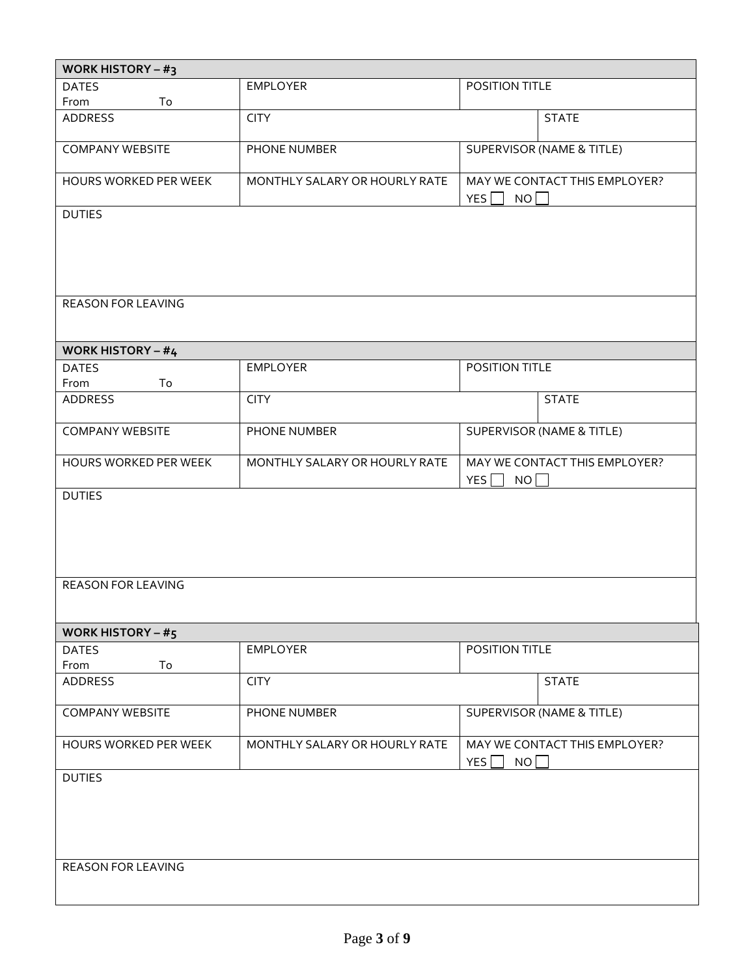| WORK HISTORY – $#_3$                       |                               |                                                   |  |  |
|--------------------------------------------|-------------------------------|---------------------------------------------------|--|--|
| <b>DATES</b>                               | <b>EMPLOYER</b>               | POSITION TITLE                                    |  |  |
| From<br>To                                 |                               |                                                   |  |  |
| <b>ADDRESS</b>                             | <b>CITY</b>                   | <b>STATE</b>                                      |  |  |
| <b>COMPANY WEBSITE</b>                     | PHONE NUMBER                  | SUPERVISOR (NAME & TITLE)                         |  |  |
| HOURS WORKED PER WEEK                      | MONTHLY SALARY OR HOURLY RATE | MAY WE CONTACT THIS EMPLOYER?<br>$N$ O<br>YES     |  |  |
| <b>DUTIES</b>                              |                               |                                                   |  |  |
| <b>REASON FOR LEAVING</b>                  |                               |                                                   |  |  |
| <b>WORK HISTORY - #4</b>                   |                               |                                                   |  |  |
| <b>DATES</b><br>From<br>To                 | <b>EMPLOYER</b>               | POSITION TITLE                                    |  |  |
| <b>ADDRESS</b>                             | <b>CITY</b>                   | <b>STATE</b>                                      |  |  |
| <b>COMPANY WEBSITE</b>                     | PHONE NUMBER                  | <b>SUPERVISOR (NAME &amp; TITLE)</b>              |  |  |
| HOURS WORKED PER WEEK                      | MONTHLY SALARY OR HOURLY RATE | MAY WE CONTACT THIS EMPLOYER?<br>YES $\Box$<br>NO |  |  |
| <b>DUTIES</b><br><b>REASON FOR LEAVING</b> |                               |                                                   |  |  |
| WORK HISTORY – $#_5$                       |                               |                                                   |  |  |
| <b>DATES</b><br>From<br>To                 | <b>EMPLOYER</b>               | POSITION TITLE                                    |  |  |
| ADDRESS                                    | <b>CITY</b>                   | <b>STATE</b>                                      |  |  |
| <b>COMPANY WEBSITE</b>                     | PHONE NUMBER                  | SUPERVISOR (NAME & TITLE)                         |  |  |
| HOURS WORKED PER WEEK                      | MONTHLY SALARY OR HOURLY RATE | MAY WE CONTACT THIS EMPLOYER?<br>NO<br>YES        |  |  |
| <b>DUTIES</b><br>REASON FOR LEAVING        |                               |                                                   |  |  |
|                                            |                               |                                                   |  |  |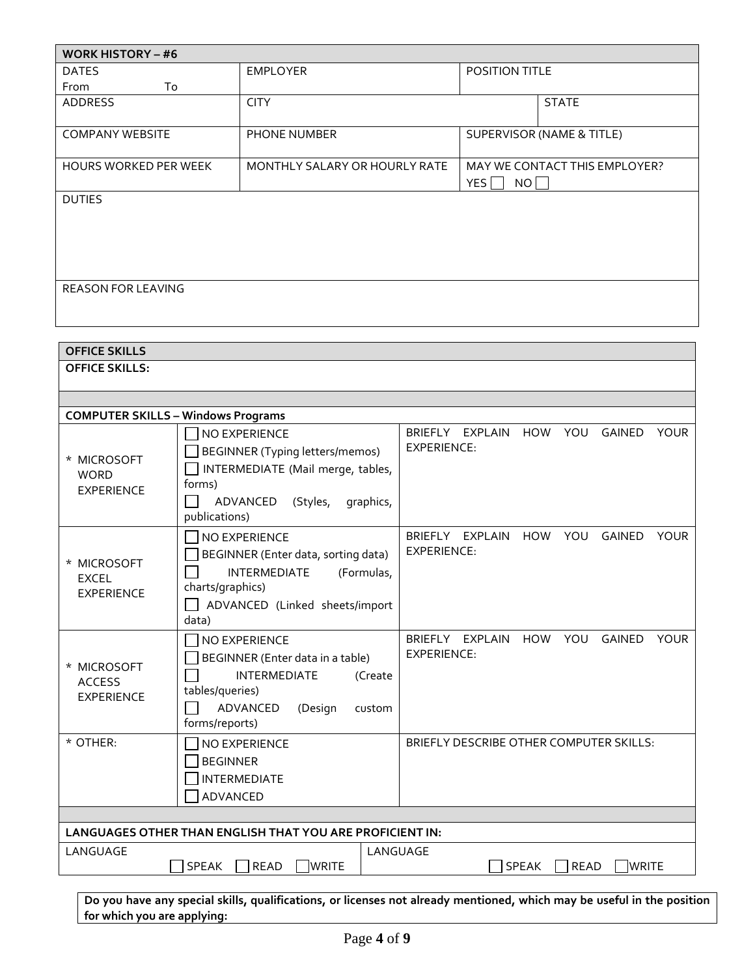| <b>WORK HISTORY – #6</b>     |                               |                                            |  |  |
|------------------------------|-------------------------------|--------------------------------------------|--|--|
| <b>DATES</b>                 | <b>EMPLOYER</b>               | POSITION TITLE                             |  |  |
| To<br>From                   |                               |                                            |  |  |
| <b>ADDRESS</b>               | <b>CITY</b>                   | <b>STATE</b>                               |  |  |
| <b>COMPANY WEBSITE</b>       | <b>PHONE NUMBER</b>           | SUPERVISOR (NAME & TITLE)                  |  |  |
| <b>HOURS WORKED PER WEEK</b> | MONTHLY SALARY OR HOURLY RATE | MAY WE CONTACT THIS EMPLOYER?<br>YES<br>NO |  |  |
| <b>DUTIES</b>                |                               |                                            |  |  |
| <b>REASON FOR LEAVING</b>    |                               |                                            |  |  |

| <b>OFFICE SKILLS</b>                                     |                                                                                                                                                                  |                                                                                            |  |  |
|----------------------------------------------------------|------------------------------------------------------------------------------------------------------------------------------------------------------------------|--------------------------------------------------------------------------------------------|--|--|
| <b>OFFICE SKILLS:</b>                                    |                                                                                                                                                                  |                                                                                            |  |  |
|                                                          |                                                                                                                                                                  |                                                                                            |  |  |
| <b>COMPUTER SKILLS - Windows Programs</b>                |                                                                                                                                                                  |                                                                                            |  |  |
| * MICROSOFT<br><b>WORD</b><br><b>EXPERIENCE</b>          | NO EXPERIENCE<br>BEGINNER (Typing letters/memos)<br>INTERMEDIATE (Mail merge, tables,<br>forms)<br>ADVANCED<br>(Styles,<br>graphics,<br>publications)            | BRIEFLY EXPLAIN<br><b>HOW</b><br>YOU<br><b>GAINED</b><br><b>YOUR</b><br><b>EXPERIENCE:</b> |  |  |
| * MICROSOFT<br><b>EXCEL</b><br><b>EXPERIENCE</b>         | NO EXPERIENCE<br>BEGINNER (Enter data, sorting data)<br><b>INTERMEDIATE</b><br>(Formulas,<br>charts/graphics)<br>ADVANCED (Linked sheets/import<br>data)         | BRIEFLY EXPLAIN<br>HOW<br>YOU<br><b>GAINED</b><br><b>YOUR</b><br><b>EXPERIENCE:</b>        |  |  |
| * MICROSOFT<br><b>ACCESS</b><br><b>EXPERIENCE</b>        | <b>NO EXPERIENCE</b><br>BEGINNER (Enter data in a table)<br><b>INTERMEDIATE</b><br>(Create<br>tables/queries)<br>ADVANCED<br>(Design<br>custom<br>forms/reports) | BRIEFLY EXPLAIN<br>HOW YOU<br><b>GAINED</b><br><b>YOUR</b><br>EXPERIENCE:                  |  |  |
| * OTHER:                                                 | NO EXPERIENCE<br><b>BEGINNER</b><br><b>INTERMEDIATE</b><br>ADVANCED                                                                                              | BRIEFLY DESCRIBE OTHER COMPUTER SKILLS:                                                    |  |  |
|                                                          |                                                                                                                                                                  |                                                                                            |  |  |
| LANGUAGES OTHER THAN ENGLISH THAT YOU ARE PROFICIENT IN: |                                                                                                                                                                  |                                                                                            |  |  |
| LANGUAGE                                                 | <b>SPEAK</b><br><b>READ</b><br><b>WRITE</b>                                                                                                                      | LANGUAGE<br><b>SPEAK</b><br><b>READ</b><br><b>WRITE</b>                                    |  |  |

**Do you have any special skills, qualifications, or licenses not already mentioned, which may be useful in the position for which you are applying:**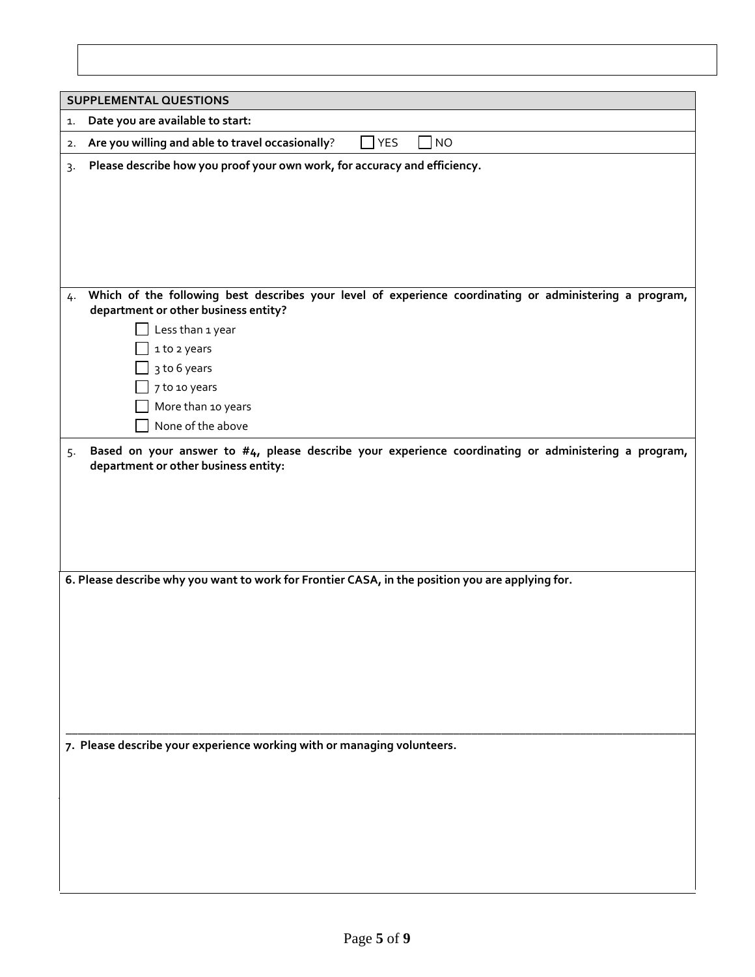|    | <b>SUPPLEMENTAL QUESTIONS</b>                                                                                                                   |  |  |
|----|-------------------------------------------------------------------------------------------------------------------------------------------------|--|--|
| 1. | Date you are available to start:                                                                                                                |  |  |
|    | <b>YES</b><br><b>NO</b><br>Are you willing and able to travel occasionally?                                                                     |  |  |
| 2. |                                                                                                                                                 |  |  |
| 3. | Please describe how you proof your own work, for accuracy and efficiency.                                                                       |  |  |
|    |                                                                                                                                                 |  |  |
|    |                                                                                                                                                 |  |  |
|    |                                                                                                                                                 |  |  |
|    |                                                                                                                                                 |  |  |
|    |                                                                                                                                                 |  |  |
| 4. | Which of the following best describes your level of experience coordinating or administering a program,<br>department or other business entity? |  |  |
|    | Less than 1 year                                                                                                                                |  |  |
|    | 1 to 2 years                                                                                                                                    |  |  |
|    | 3 to 6 years                                                                                                                                    |  |  |
|    | 7 to 10 years                                                                                                                                   |  |  |
|    | More than 10 years                                                                                                                              |  |  |
|    | None of the above                                                                                                                               |  |  |
| 5. | Based on your answer to #4, please describe your experience coordinating or administering a program,<br>department or other business entity:    |  |  |
|    |                                                                                                                                                 |  |  |
|    |                                                                                                                                                 |  |  |
|    |                                                                                                                                                 |  |  |
|    |                                                                                                                                                 |  |  |
|    |                                                                                                                                                 |  |  |
|    | 6. Please describe why you want to work for Frontier CASA, in the position you are applying for.                                                |  |  |
|    |                                                                                                                                                 |  |  |
|    |                                                                                                                                                 |  |  |
|    |                                                                                                                                                 |  |  |
|    |                                                                                                                                                 |  |  |
|    |                                                                                                                                                 |  |  |
|    |                                                                                                                                                 |  |  |
|    |                                                                                                                                                 |  |  |
|    | 7. Please describe your experience working with or managing volunteers.                                                                         |  |  |
|    |                                                                                                                                                 |  |  |
|    |                                                                                                                                                 |  |  |
|    |                                                                                                                                                 |  |  |
|    |                                                                                                                                                 |  |  |
|    |                                                                                                                                                 |  |  |
|    |                                                                                                                                                 |  |  |
|    |                                                                                                                                                 |  |  |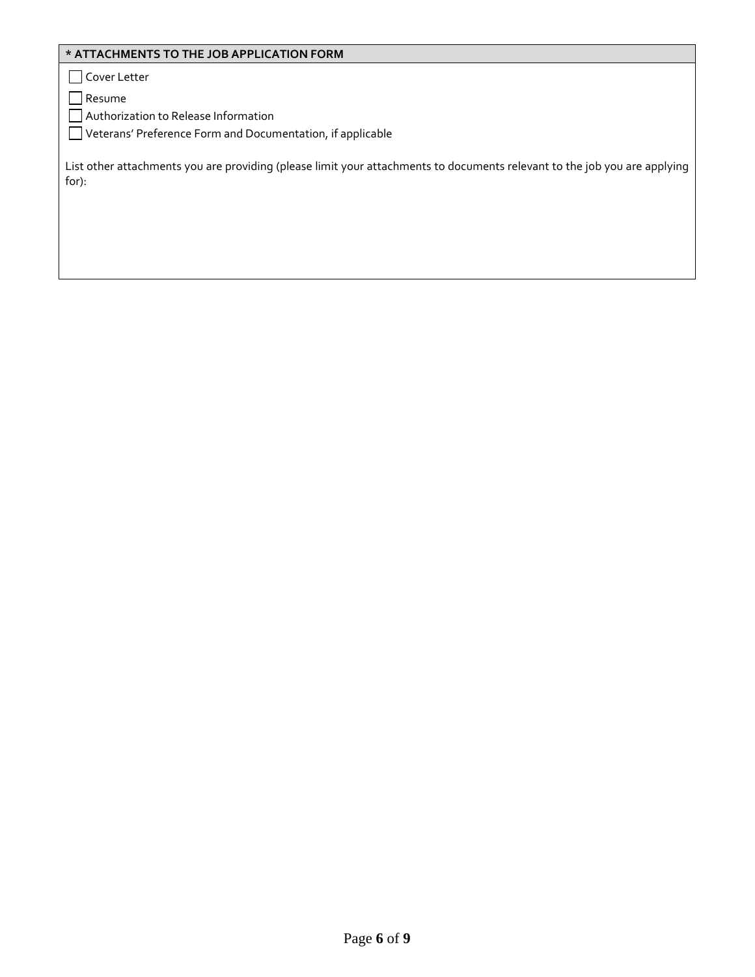# **\* ATTACHMENTS TO THE JOB APPLICATION FORM**

Cover Letter

Resume

Authorization to Release Information

Veterans' Preference Form and Documentation, if applicable

List other attachments you are providing (please limit your attachments to documents relevant to the job you are applying for):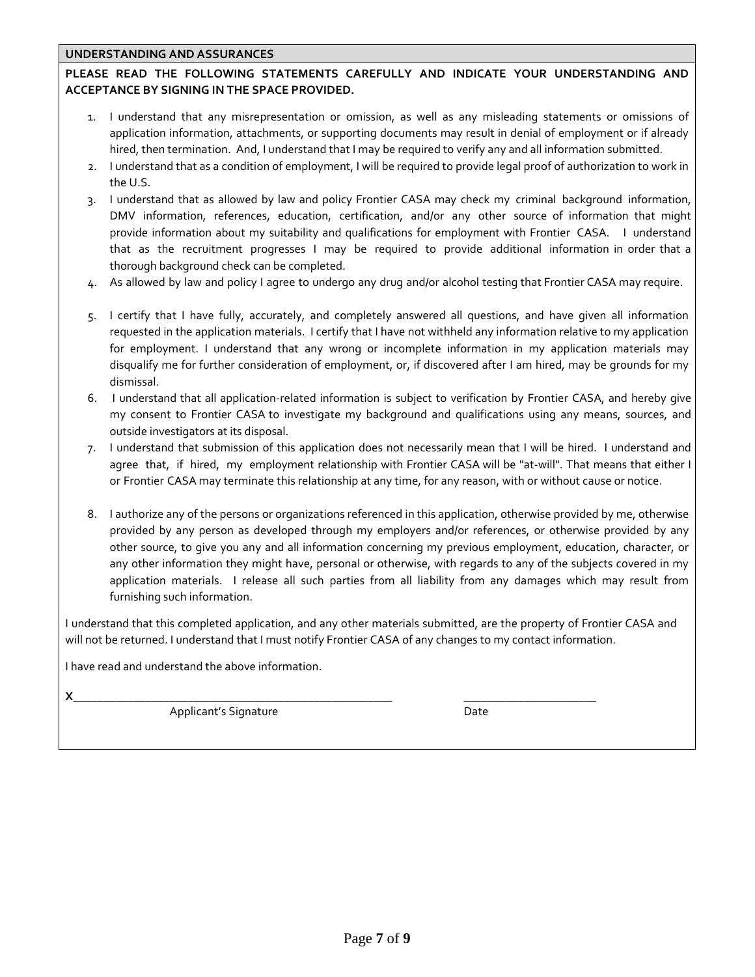# **UNDERSTANDING AND ASSURANCES**

# **PLEASE READ THE FOLLOWING STATEMENTS CAREFULLY AND INDICATE YOUR UNDERSTANDING AND ACCEPTANCE BY SIGNING IN THE SPACE PROVIDED.**

- 1. I understand that any misrepresentation or omission, as well as any misleading statements or omissions of application information, attachments, or supporting documents may result in denial of employment or if already hired, then termination. And, I understand that I may be required to verify any and all information submitted.
- 2. I understand that as a condition of employment, I will be required to provide legal proof of authorization to work in the U.S.
- 3. I understand that as allowed by law and policy Frontier CASA may check my criminal background information, DMV information, references, education, certification, and/or any other source of information that might provide information about my suitability and qualifications for employment with Frontier CASA. I understand that as the recruitment progresses I may be required to provide additional information in order that a thorough background check can be completed.
- 4. As allowed by law and policy I agree to undergo any drug and/or alcohol testing that Frontier CASA may require.
- 5. I certify that I have fully, accurately, and completely answered all questions, and have given all information requested in the application materials. I certify that I have not withheld any information relative to my application for employment. I understand that any wrong or incomplete information in my application materials may disqualify me for further consideration of employment, or, if discovered after I am hired, may be grounds for my dismissal.
- 6. I understand that all application-related information is subject to verification by Frontier CASA, and hereby give my consent to Frontier CASA to investigate my background and qualifications using any means, sources, and outside investigators at its disposal.
- 7. I understand that submission of this application does not necessarily mean that I will be hired. I understand and agree that, if hired, my employment relationship with Frontier CASA will be "at-will". That means that either I or Frontier CASA may terminate this relationship at any time, for any reason, with or without cause or notice.
- 8. I authorize any of the persons or organizations referenced in this application, otherwise provided by me, otherwise provided by any person as developed through my employers and/or references, or otherwise provided by any other source, to give you any and all information concerning my previous employment, education, character, or any other information they might have, personal or otherwise, with regards to any of the subjects covered in my application materials. I release all such parties from all liability from any damages which may result from furnishing such information.

I understand that this completed application, and any other materials submitted, are the property of Frontier CASA and will not be returned. I understand that I must notify Frontier CASA of any changes to my contact information.

I have read and understand the above information.

**X**\_\_\_\_\_\_\_\_\_\_\_\_\_\_\_\_\_\_\_\_\_\_\_\_\_\_\_\_\_\_\_\_\_\_\_\_\_\_\_\_\_\_\_\_\_\_\_\_\_\_\_\_\_ \_\_\_\_\_\_\_\_\_\_\_\_\_\_\_\_\_\_\_\_\_\_

Applicant's Signature Date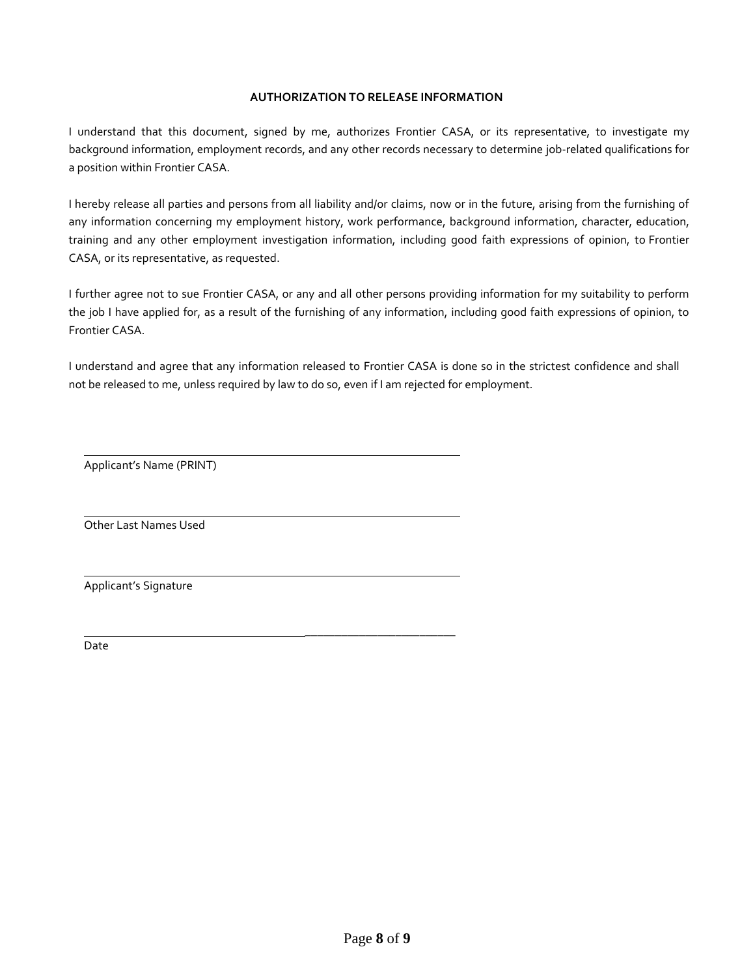#### **AUTHORIZATION TO RELEASE INFORMATION**

I understand that this document, signed by me, authorizes Frontier CASA, or its representative, to investigate my background information, employment records, and any other records necessary to determine job-related qualifications for a position within Frontier CASA.

I hereby release all parties and persons from all liability and/or claims, now or in the future, arising from the furnishing of any information concerning my employment history, work performance, background information, character, education, training and any other employment investigation information, including good faith expressions of opinion, to Frontier CASA, or its representative, as requested.

I further agree not to sue Frontier CASA, or any and all other persons providing information for my suitability to perform the job I have applied for, as a result of the furnishing of any information, including good faith expressions of opinion, to Frontier CASA.

I understand and agree that any information released to Frontier CASA is done so in the strictest confidence and shall not be released to me, unless required by law to do so, even if I am rejected for employment.

\_\_\_\_\_\_\_\_\_\_\_\_\_\_\_\_\_\_\_\_\_\_\_\_\_

Applicant's Name (PRINT)

Other Last Names Used

Applicant's Signature

Date